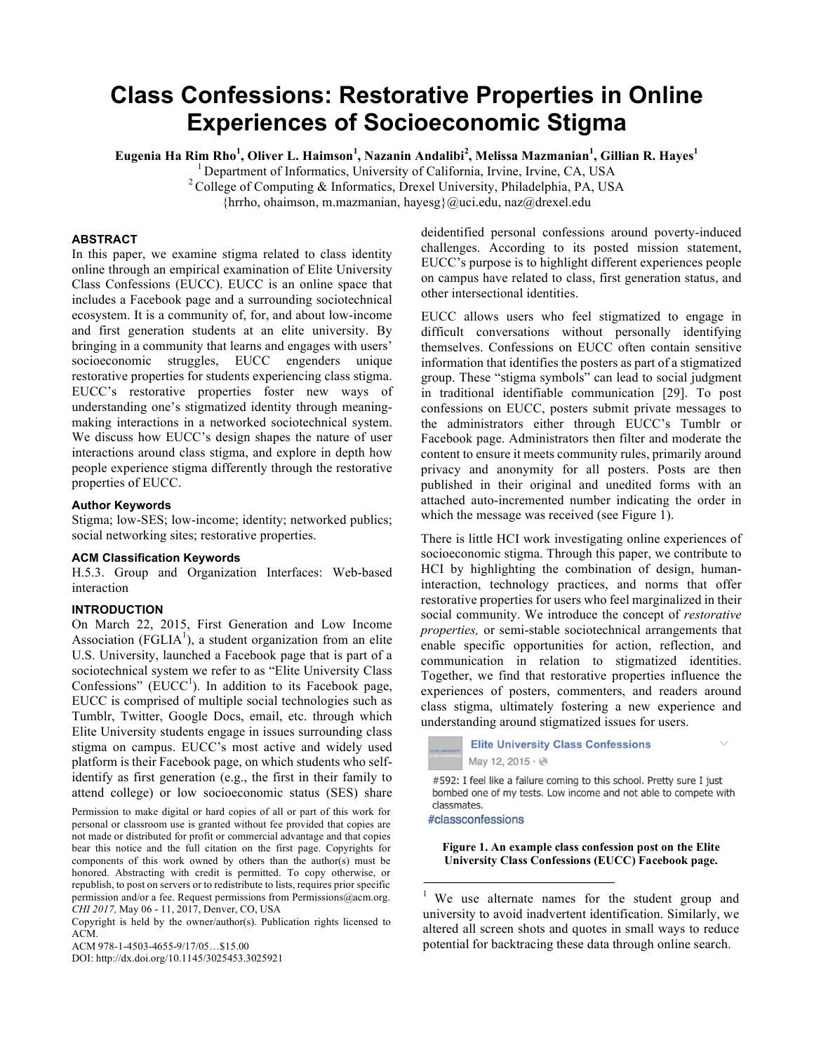# **Class Confessions: Restorative Properties in Online Experiences of Socioeconomic Stigma**

**Eugenia Ha Rim Rho<sup>1</sup> , Oliver L. Haimson<sup>1</sup> , Nazanin Andalibi<sup>2</sup> , Melissa Mazmanian<sup>1</sup> , Gillian R. Hayes<sup>1</sup>**

<sup>1</sup> Department of Informatics, University of California, Irvine, Irvine, CA, USA <sup>2</sup>College of Computing & Informatics, Drexel University, Philadelphia, PA, USA

{hrrho, ohaimson, m.mazmanian, hayesg}@uci.edu, naz@drexel.edu

# **ABSTRACT**

In this paper, we examine stigma related to class identity online through an empirical examination of Elite University Class Confessions (EUCC). EUCC is an online space that includes a Facebook page and a surrounding sociotechnical ecosystem. It is a community of, for, and about low-income and first generation students at an elite university. By bringing in a community that learns and engages with users' socioeconomic struggles, EUCC engenders unique restorative properties for students experiencing class stigma. EUCC's restorative properties foster new ways of understanding one's stigmatized identity through meaningmaking interactions in a networked sociotechnical system. We discuss how EUCC's design shapes the nature of user interactions around class stigma, and explore in depth how people experience stigma differently through the restorative properties of EUCC.

#### **Author Keywords**

Stigma; low-SES; low-income; identity; networked publics; social networking sites; restorative properties.

#### **ACM Classification Keywords**

H.5.3. Group and Organization Interfaces: Web-based interaction

#### **INTRODUCTION**

On March 22, 2015, First Generation and Low Income Association (FGLIA<sup>1</sup>), a student organization from an elite U.S. University, launched a Facebook page that is part of a sociotechnical system we refer to as "Elite University Class Confessions" ( $\text{EUCC}^1$ ). In addition to its Facebook page, EUCC is comprised of multiple social technologies such as Tumblr, Twitter, Google Docs, email, etc. through which Elite University students engage in issues surrounding class stigma on campus. EUCC's most active and widely used platform is their Facebook page, on which students who selfidentify as first generation (e.g., the first in their family to attend college) or low socioeconomic status (SES) share

Permission to make digital or hard copies of all or part of this work for personal or classroom use is granted without fee provided that copies are not made or distributed for profit or commercial advantage and that copies bear this notice and the full citation on the first page. Copyrights for components of this work owned by others than the author(s) must be honored. Abstracting with credit is permitted. To copy otherwise, or republish, to post on servers or to redistribute to lists, requires prior specific permission and/or a fee. Request permissions from Permissions@acm.org. *CHI 2017,* May 06 - 11, 2017, Denver, CO, USA

Copyright is held by the owner/author(s). Publication rights licensed to ACM.

ACM 978-1-4503-4655-9/17/05…\$15.00

DOI: http://dx.doi.org/10.1145/3025453.3025921

deidentified personal confessions around poverty-induced challenges. According to its posted mission statement, EUCC's purpose is to highlight different experiences people on campus have related to class, first generation status, and other intersectional identities.

EUCC allows users who feel stigmatized to engage in difficult conversations without personally identifying themselves. Confessions on EUCC often contain sensitive information that identifies the posters as part of a stigmatized group. These "stigma symbols" can lead to social judgment in traditional identifiable communication [29]. To post confessions on EUCC, posters submit private messages to the administrators either through EUCC's Tumblr or Facebook page. Administrators then filter and moderate the content to ensure it meets community rules, primarily around privacy and anonymity for all posters. Posts are then published in their original and unedited forms with an attached auto-incremented number indicating the order in which the message was received (see Figure 1).

There is little HCI work investigating online experiences of socioeconomic stigma. Through this paper, we contribute to HCI by highlighting the combination of design, humaninteraction, technology practices, and norms that offer restorative properties for users who feel marginalized in their social community. We introduce the concept of *restorative properties,* or semi-stable sociotechnical arrangements that enable specific opportunities for action, reflection, and communication in relation to stigmatized identities. Together, we find that restorative properties influence the experiences of posters, commenters, and readers around class stigma, ultimately fostering a new experience and understanding around stigmatized issues for users.

# **Elite University Class Confessions** May 12, 2015 · @

#592: I feel like a failure coming to this school. Pretty sure I just bombed one of my tests. Low income and not able to compete with classmates.

#classconfessions

**Figure 1. An example class confession post on the Elite University Class Confessions (EUCC) Facebook page.**

<sup>1</sup> We use alternate names for the student group and university to avoid inadvertent identification. Similarly, we altered all screen shots and quotes in small ways to reduce potential for backtracing these data through online search.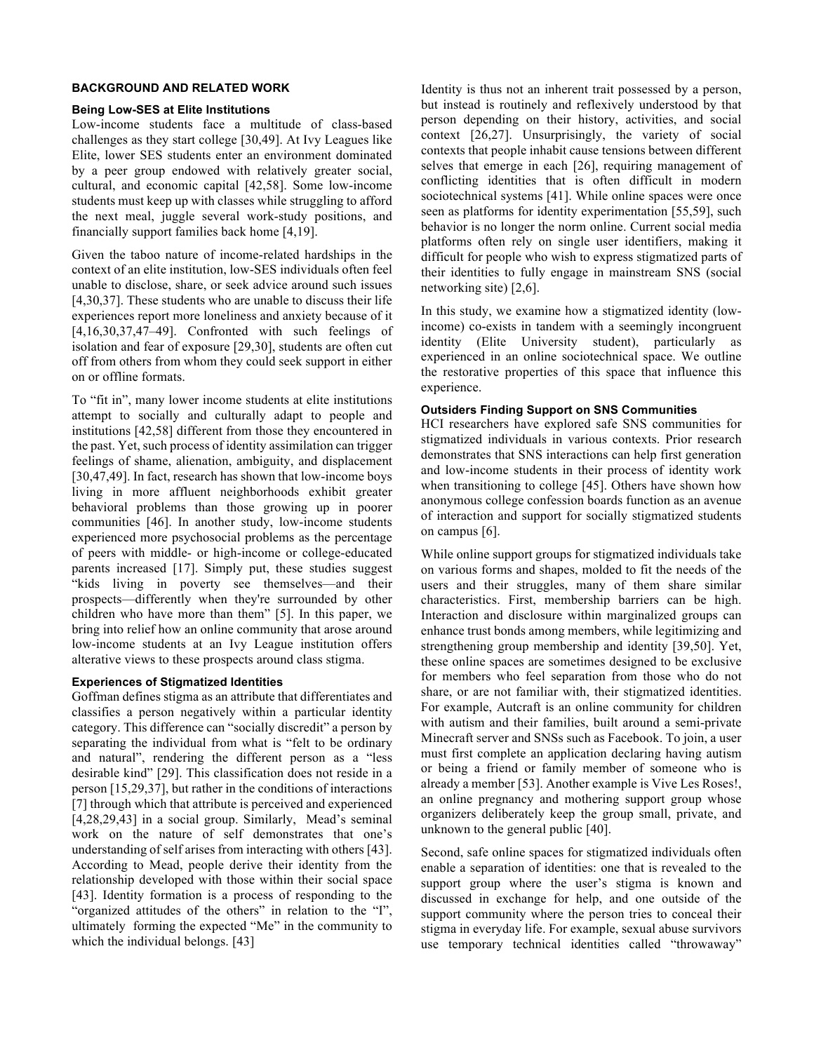# **BACKGROUND AND RELATED WORK**

#### **Being Low-SES at Elite Institutions**

Low-income students face a multitude of class-based challenges as they start college [30,49]. At Ivy Leagues like Elite, lower SES students enter an environment dominated by a peer group endowed with relatively greater social, cultural, and economic capital [42,58]. Some low-income students must keep up with classes while struggling to afford the next meal, juggle several work-study positions, and financially support families back home [4,19].

Given the taboo nature of income-related hardships in the context of an elite institution, low-SES individuals often feel unable to disclose, share, or seek advice around such issues [4,30,37]. These students who are unable to discuss their life experiences report more loneliness and anxiety because of it [4,16,30,37,47–49]. Confronted with such feelings of isolation and fear of exposure [29,30], students are often cut off from others from whom they could seek support in either on or offline formats.

To "fit in", many lower income students at elite institutions attempt to socially and culturally adapt to people and institutions [42,58] different from those they encountered in the past. Yet, such process of identity assimilation can trigger feelings of shame, alienation, ambiguity, and displacement [30,47,49]. In fact, research has shown that low-income boys living in more affluent neighborhoods exhibit greater behavioral problems than those growing up in poorer communities [46]. In another study, low-income students experienced more psychosocial problems as the percentage of peers with middle- or high-income or college-educated parents increased [17]. Simply put, these studies suggest "kids living in poverty see themselves—and their prospects—differently when they're surrounded by other children who have more than them" [5]. In this paper, we bring into relief how an online community that arose around low-income students at an Ivy League institution offers alterative views to these prospects around class stigma.

## **Experiences of Stigmatized Identities**

Goffman defines stigma as an attribute that differentiates and classifies a person negatively within a particular identity category. This difference can "socially discredit" a person by separating the individual from what is "felt to be ordinary and natural", rendering the different person as a "less desirable kind" [29]. This classification does not reside in a person [15,29,37], but rather in the conditions of interactions [7] through which that attribute is perceived and experienced [4,28,29,43] in a social group. Similarly, Mead's seminal work on the nature of self demonstrates that one's understanding of self arises from interacting with others [43]. According to Mead, people derive their identity from the relationship developed with those within their social space [43]. Identity formation is a process of responding to the "organized attitudes of the others" in relation to the "I", ultimately forming the expected "Me" in the community to which the individual belongs. [43]

Identity is thus not an inherent trait possessed by a person, but instead is routinely and reflexively understood by that person depending on their history, activities, and social context [26,27]. Unsurprisingly, the variety of social contexts that people inhabit cause tensions between different selves that emerge in each [26], requiring management of conflicting identities that is often difficult in modern sociotechnical systems [41]. While online spaces were once seen as platforms for identity experimentation [55,59], such behavior is no longer the norm online. Current social media platforms often rely on single user identifiers, making it difficult for people who wish to express stigmatized parts of their identities to fully engage in mainstream SNS (social networking site) [2,6].

In this study, we examine how a stigmatized identity (lowincome) co-exists in tandem with a seemingly incongruent identity (Elite University student), particularly as experienced in an online sociotechnical space. We outline the restorative properties of this space that influence this experience.

# **Outsiders Finding Support on SNS Communities**

HCI researchers have explored safe SNS communities for stigmatized individuals in various contexts. Prior research demonstrates that SNS interactions can help first generation and low-income students in their process of identity work when transitioning to college [45]. Others have shown how anonymous college confession boards function as an avenue of interaction and support for socially stigmatized students on campus [6].

While online support groups for stigmatized individuals take on various forms and shapes, molded to fit the needs of the users and their struggles, many of them share similar characteristics. First, membership barriers can be high. Interaction and disclosure within marginalized groups can enhance trust bonds among members, while legitimizing and strengthening group membership and identity [39,50]. Yet, these online spaces are sometimes designed to be exclusive for members who feel separation from those who do not share, or are not familiar with, their stigmatized identities. For example, Autcraft is an online community for children with autism and their families, built around a semi-private Minecraft server and SNSs such as Facebook. To join, a user must first complete an application declaring having autism or being a friend or family member of someone who is already a member [53]. Another example is Vive Les Roses!, an online pregnancy and mothering support group whose organizers deliberately keep the group small, private, and unknown to the general public [40].

Second, safe online spaces for stigmatized individuals often enable a separation of identities: one that is revealed to the support group where the user's stigma is known and discussed in exchange for help, and one outside of the support community where the person tries to conceal their stigma in everyday life. For example, sexual abuse survivors use temporary technical identities called "throwaway"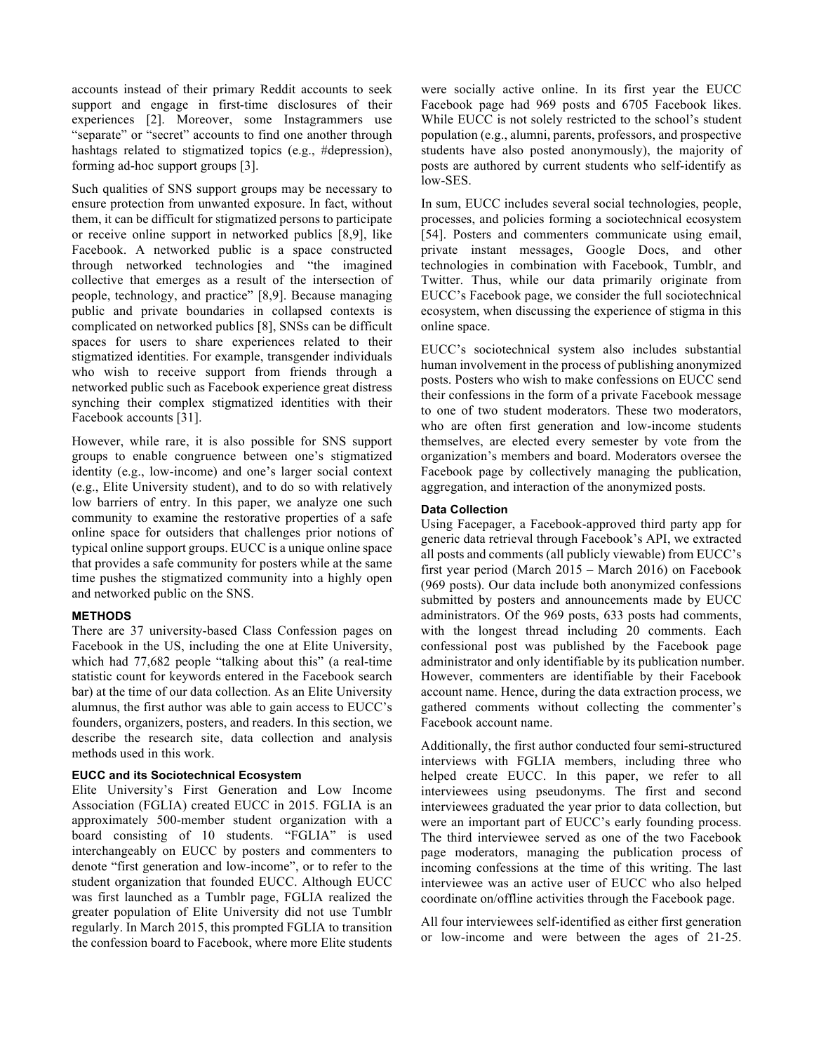accounts instead of their primary Reddit accounts to seek support and engage in first-time disclosures of their experiences [2]. Moreover, some Instagrammers use "separate" or "secret" accounts to find one another through hashtags related to stigmatized topics (e.g., #depression), forming ad-hoc support groups [3].

Such qualities of SNS support groups may be necessary to ensure protection from unwanted exposure. In fact, without them, it can be difficult for stigmatized persons to participate or receive online support in networked publics [8,9], like Facebook. A networked public is a space constructed through networked technologies and "the imagined collective that emerges as a result of the intersection of people, technology, and practice" [8,9]. Because managing public and private boundaries in collapsed contexts is complicated on networked publics [8], SNSs can be difficult spaces for users to share experiences related to their stigmatized identities. For example, transgender individuals who wish to receive support from friends through a networked public such as Facebook experience great distress synching their complex stigmatized identities with their Facebook accounts [31].

However, while rare, it is also possible for SNS support groups to enable congruence between one's stigmatized identity (e.g., low-income) and one's larger social context (e.g., Elite University student), and to do so with relatively low barriers of entry. In this paper, we analyze one such community to examine the restorative properties of a safe online space for outsiders that challenges prior notions of typical online support groups. EUCC is a unique online space that provides a safe community for posters while at the same time pushes the stigmatized community into a highly open and networked public on the SNS.

## **METHODS**

There are 37 university-based Class Confession pages on Facebook in the US, including the one at Elite University, which had 77,682 people "talking about this" (a real-time statistic count for keywords entered in the Facebook search bar) at the time of our data collection. As an Elite University alumnus, the first author was able to gain access to EUCC's founders, organizers, posters, and readers. In this section, we describe the research site, data collection and analysis methods used in this work.

#### **EUCC and its Sociotechnical Ecosystem**

Elite University's First Generation and Low Income Association (FGLIA) created EUCC in 2015. FGLIA is an approximately 500-member student organization with a board consisting of 10 students. "FGLIA" is used interchangeably on EUCC by posters and commenters to denote "first generation and low-income", or to refer to the student organization that founded EUCC. Although EUCC was first launched as a Tumblr page, FGLIA realized the greater population of Elite University did not use Tumblr regularly. In March 2015, this prompted FGLIA to transition the confession board to Facebook, where more Elite students

were socially active online. In its first year the EUCC Facebook page had 969 posts and 6705 Facebook likes. While EUCC is not solely restricted to the school's student population (e.g., alumni, parents, professors, and prospective students have also posted anonymously), the majority of posts are authored by current students who self-identify as low-SES.

In sum, EUCC includes several social technologies, people, processes, and policies forming a sociotechnical ecosystem [54]. Posters and commenters communicate using email, private instant messages, Google Docs, and other technologies in combination with Facebook, Tumblr, and Twitter. Thus, while our data primarily originate from EUCC's Facebook page, we consider the full sociotechnical ecosystem, when discussing the experience of stigma in this online space.

EUCC's sociotechnical system also includes substantial human involvement in the process of publishing anonymized posts. Posters who wish to make confessions on EUCC send their confessions in the form of a private Facebook message to one of two student moderators. These two moderators, who are often first generation and low-income students themselves, are elected every semester by vote from the organization's members and board. Moderators oversee the Facebook page by collectively managing the publication, aggregation, and interaction of the anonymized posts.

#### **Data Collection**

Using Facepager, a Facebook-approved third party app for generic data retrieval through Facebook's API, we extracted all posts and comments (all publicly viewable) from EUCC's first year period (March 2015 – March 2016) on Facebook (969 posts). Our data include both anonymized confessions submitted by posters and announcements made by EUCC administrators. Of the 969 posts, 633 posts had comments, with the longest thread including 20 comments. Each confessional post was published by the Facebook page administrator and only identifiable by its publication number. However, commenters are identifiable by their Facebook account name. Hence, during the data extraction process, we gathered comments without collecting the commenter's Facebook account name.

Additionally, the first author conducted four semi-structured interviews with FGLIA members, including three who helped create EUCC. In this paper, we refer to all interviewees using pseudonyms. The first and second interviewees graduated the year prior to data collection, but were an important part of EUCC's early founding process. The third interviewee served as one of the two Facebook page moderators, managing the publication process of incoming confessions at the time of this writing. The last interviewee was an active user of EUCC who also helped coordinate on/offline activities through the Facebook page.

All four interviewees self-identified as either first generation or low-income and were between the ages of 21-25.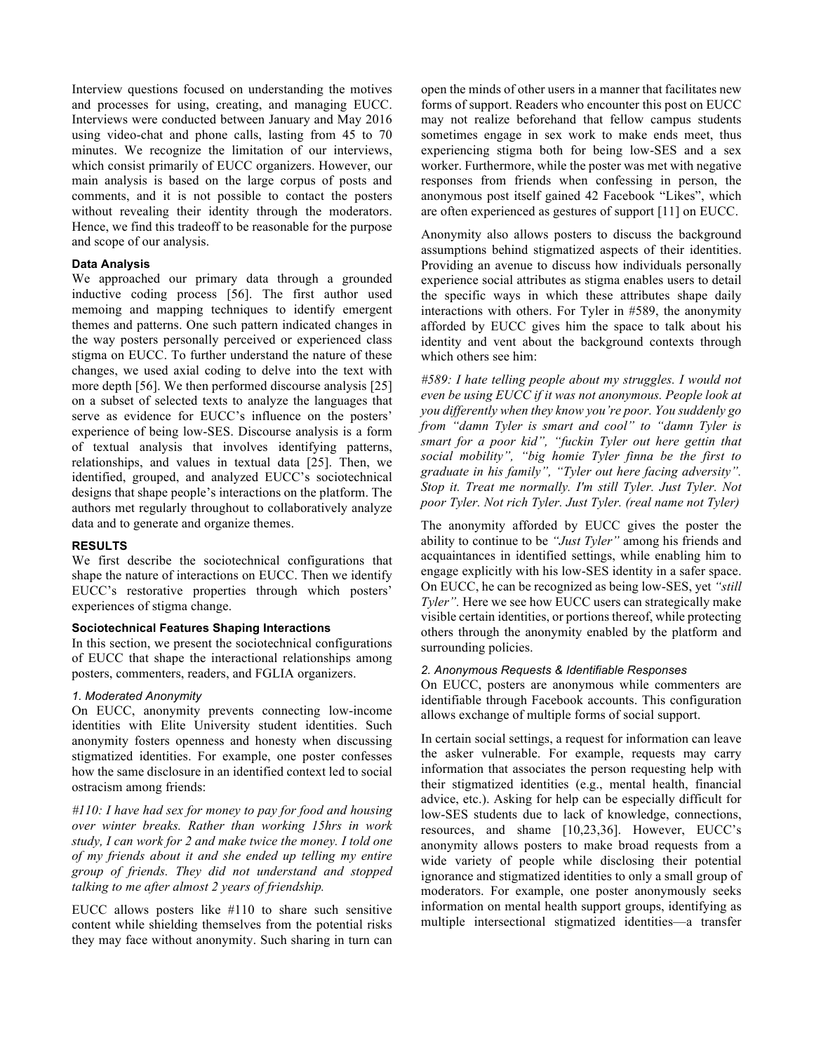Interview questions focused on understanding the motives and processes for using, creating, and managing EUCC. Interviews were conducted between January and May 2016 using video-chat and phone calls, lasting from 45 to 70 minutes. We recognize the limitation of our interviews, which consist primarily of EUCC organizers. However, our main analysis is based on the large corpus of posts and comments, and it is not possible to contact the posters without revealing their identity through the moderators. Hence, we find this tradeoff to be reasonable for the purpose and scope of our analysis.

# **Data Analysis**

We approached our primary data through a grounded inductive coding process [56]. The first author used memoing and mapping techniques to identify emergent themes and patterns. One such pattern indicated changes in the way posters personally perceived or experienced class stigma on EUCC. To further understand the nature of these changes, we used axial coding to delve into the text with more depth [56]. We then performed discourse analysis [25] on a subset of selected texts to analyze the languages that serve as evidence for EUCC's influence on the posters' experience of being low-SES. Discourse analysis is a form of textual analysis that involves identifying patterns, relationships, and values in textual data [25]. Then, we identified, grouped, and analyzed EUCC's sociotechnical designs that shape people's interactions on the platform. The authors met regularly throughout to collaboratively analyze data and to generate and organize themes.

#### **RESULTS**

We first describe the sociotechnical configurations that shape the nature of interactions on EUCC. Then we identify EUCC's restorative properties through which posters' experiences of stigma change.

## **Sociotechnical Features Shaping Interactions**

In this section, we present the sociotechnical configurations of EUCC that shape the interactional relationships among posters, commenters, readers, and FGLIA organizers.

# *1. Moderated Anonymity*

On EUCC, anonymity prevents connecting low-income identities with Elite University student identities. Such anonymity fosters openness and honesty when discussing stigmatized identities. For example, one poster confesses how the same disclosure in an identified context led to social ostracism among friends:

*#110: I have had sex for money to pay for food and housing over winter breaks. Rather than working 15hrs in work study, I can work for 2 and make twice the money. I told one of my friends about it and she ended up telling my entire group of friends. They did not understand and stopped talking to me after almost 2 years of friendship.*

EUCC allows posters like #110 to share such sensitive content while shielding themselves from the potential risks they may face without anonymity. Such sharing in turn can

open the minds of other users in a manner that facilitates new forms of support. Readers who encounter this post on EUCC may not realize beforehand that fellow campus students sometimes engage in sex work to make ends meet, thus experiencing stigma both for being low-SES and a sex worker. Furthermore, while the poster was met with negative responses from friends when confessing in person, the anonymous post itself gained 42 Facebook "Likes", which are often experienced as gestures of support [11] on EUCC.

Anonymity also allows posters to discuss the background assumptions behind stigmatized aspects of their identities. Providing an avenue to discuss how individuals personally experience social attributes as stigma enables users to detail the specific ways in which these attributes shape daily interactions with others. For Tyler in #589, the anonymity afforded by EUCC gives him the space to talk about his identity and vent about the background contexts through which others see him:

*#589: I hate telling people about my struggles. I would not even be using EUCC if it was not anonymous. People look at you differently when they know you're poor. You suddenly go from "damn Tyler is smart and cool" to "damn Tyler is smart for a poor kid", "fuckin Tyler out here gettin that social mobility", "big homie Tyler finna be the first to graduate in his family", "Tyler out here facing adversity". Stop it. Treat me normally. I'm still Tyler. Just Tyler. Not poor Tyler. Not rich Tyler. Just Tyler. (real name not Tyler)*

The anonymity afforded by EUCC gives the poster the ability to continue to be *"Just Tyler"* among his friends and acquaintances in identified settings, while enabling him to engage explicitly with his low-SES identity in a safer space. On EUCC, he can be recognized as being low-SES, yet *"still Tyler".* Here we see how EUCC users can strategically make visible certain identities, or portions thereof, while protecting others through the anonymity enabled by the platform and surrounding policies.

#### *2. Anonymous Requests & Identifiable Responses*

On EUCC, posters are anonymous while commenters are identifiable through Facebook accounts. This configuration allows exchange of multiple forms of social support.

In certain social settings, a request for information can leave the asker vulnerable. For example, requests may carry information that associates the person requesting help with their stigmatized identities (e.g., mental health, financial advice, etc.). Asking for help can be especially difficult for low-SES students due to lack of knowledge, connections, resources, and shame [10,23,36]. However, EUCC's anonymity allows posters to make broad requests from a wide variety of people while disclosing their potential ignorance and stigmatized identities to only a small group of moderators. For example, one poster anonymously seeks information on mental health support groups, identifying as multiple intersectional stigmatized identities—a transfer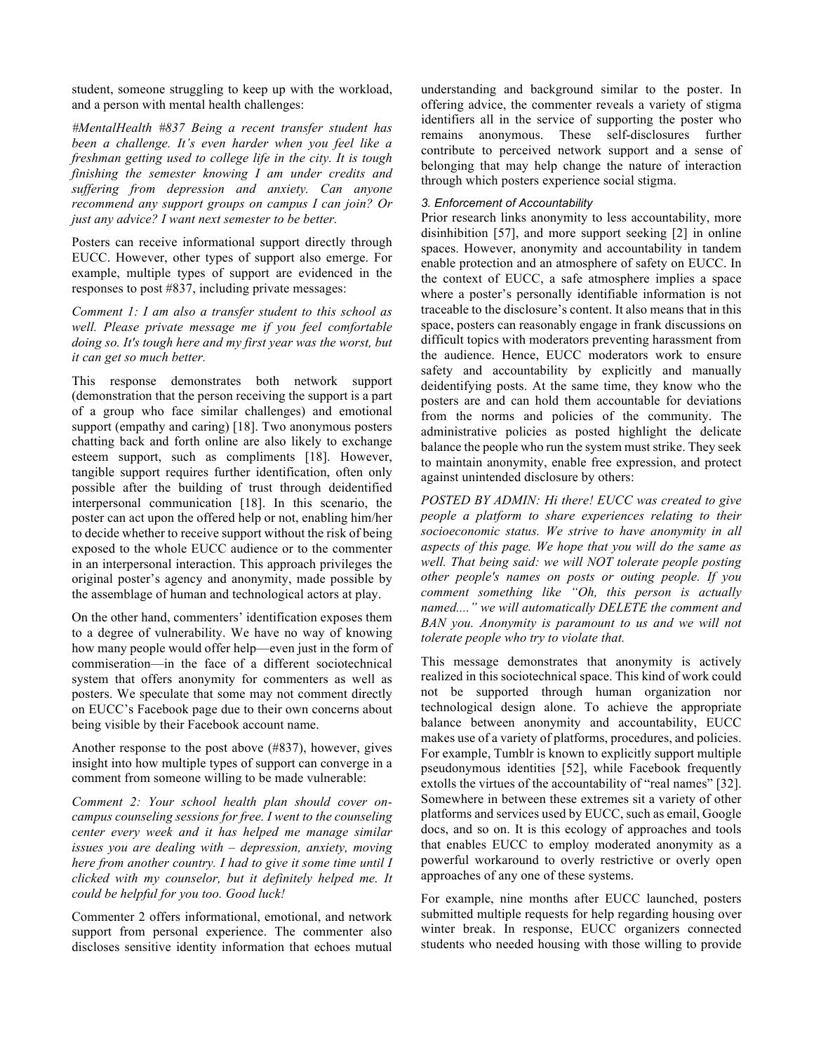student, someone struggling to keep up with the workload, and a person with mental health challenges:

*#MentalHealth #837 Being a recent transfer student has been a challenge. It's even harder when you feel like a freshman getting used to college life in the city. It is tough finishing the semester knowing I am under credits and suffering from depression and anxiety. Can anyone recommend any support groups on campus I can join? Or just any advice? I want next semester to be better.*

Posters can receive informational support directly through EUCC. However, other types of support also emerge. For example, multiple types of support are evidenced in the responses to post #837, including private messages:

*Comment 1: I am also a transfer student to this school as well. Please private message me if you feel comfortable doing so. It's tough here and my first year was the worst, but it can get so much better.*

This response demonstrates both network support (demonstration that the person receiving the support is a part of a group who face similar challenges) and emotional support (empathy and caring) [18]. Two anonymous posters chatting back and forth online are also likely to exchange esteem support, such as compliments [18]. However, tangible support requires further identification, often only possible after the building of trust through deidentified interpersonal communication [18]. In this scenario, the poster can act upon the offered help or not, enabling him/her to decide whether to receive support without the risk of being exposed to the whole EUCC audience or to the commenter in an interpersonal interaction. This approach privileges the original poster's agency and anonymity, made possible by the assemblage of human and technological actors at play.

On the other hand, commenters' identification exposes them to a degree of vulnerability. We have no way of knowing how many people would offer help—even just in the form of commiseration—in the face of a different sociotechnical system that offers anonymity for commenters as well as posters. We speculate that some may not comment directly on EUCC's Facebook page due to their own concerns about being visible by their Facebook account name.

Another response to the post above (#837), however, gives insight into how multiple types of support can converge in a comment from someone willing to be made vulnerable:

*Comment 2: Your school health plan should cover oncampus counseling sessions for free. I went to the counseling center every week and it has helped me manage similar issues you are dealing with – depression, anxiety, moving here from another country. I had to give it some time until I clicked with my counselor, but it definitely helped me. It could be helpful for you too. Good luck!*

Commenter 2 offers informational, emotional, and network support from personal experience. The commenter also discloses sensitive identity information that echoes mutual

understanding and background similar to the poster. In offering advice, the commenter reveals a variety of stigma identifiers all in the service of supporting the poster who remains anonymous. These self-disclosures further contribute to perceived network support and a sense of belonging that may help change the nature of interaction through which posters experience social stigma.

# *3. Enforcement of Accountability*

Prior research links anonymity to less accountability, more disinhibition [57], and more support seeking [2] in online spaces. However, anonymity and accountability in tandem enable protection and an atmosphere of safety on EUCC. In the context of EUCC, a safe atmosphere implies a space where a poster's personally identifiable information is not traceable to the disclosure's content. It also means that in this space, posters can reasonably engage in frank discussions on difficult topics with moderators preventing harassment from the audience. Hence, EUCC moderators work to ensure safety and accountability by explicitly and manually deidentifying posts. At the same time, they know who the posters are and can hold them accountable for deviations from the norms and policies of the community. The administrative policies as posted highlight the delicate balance the people who run the system must strike. They seek to maintain anonymity, enable free expression, and protect against unintended disclosure by others:

*POSTED BY ADMIN: Hi there! EUCC was created to give people a platform to share experiences relating to their socioeconomic status. We strive to have anonymity in all aspects of this page. We hope that you will do the same as well. That being said: we will NOT tolerate people posting other people's names on posts or outing people. If you comment something like "Oh, this person is actually named...." we will automatically DELETE the comment and BAN you. Anonymity is paramount to us and we will not tolerate people who try to violate that.*

This message demonstrates that anonymity is actively realized in this sociotechnical space. This kind of work could not be supported through human organization nor technological design alone. To achieve the appropriate balance between anonymity and accountability, EUCC makes use of a variety of platforms, procedures, and policies. For example, Tumblr is known to explicitly support multiple pseudonymous identities [52], while Facebook frequently extolls the virtues of the accountability of "real names" [32]. Somewhere in between these extremes sit a variety of other platforms and services used by EUCC, such as email, Google docs, and so on. It is this ecology of approaches and tools that enables EUCC to employ moderated anonymity as a powerful workaround to overly restrictive or overly open approaches of any one of these systems.

For example, nine months after EUCC launched, posters submitted multiple requests for help regarding housing over winter break. In response, EUCC organizers connected students who needed housing with those willing to provide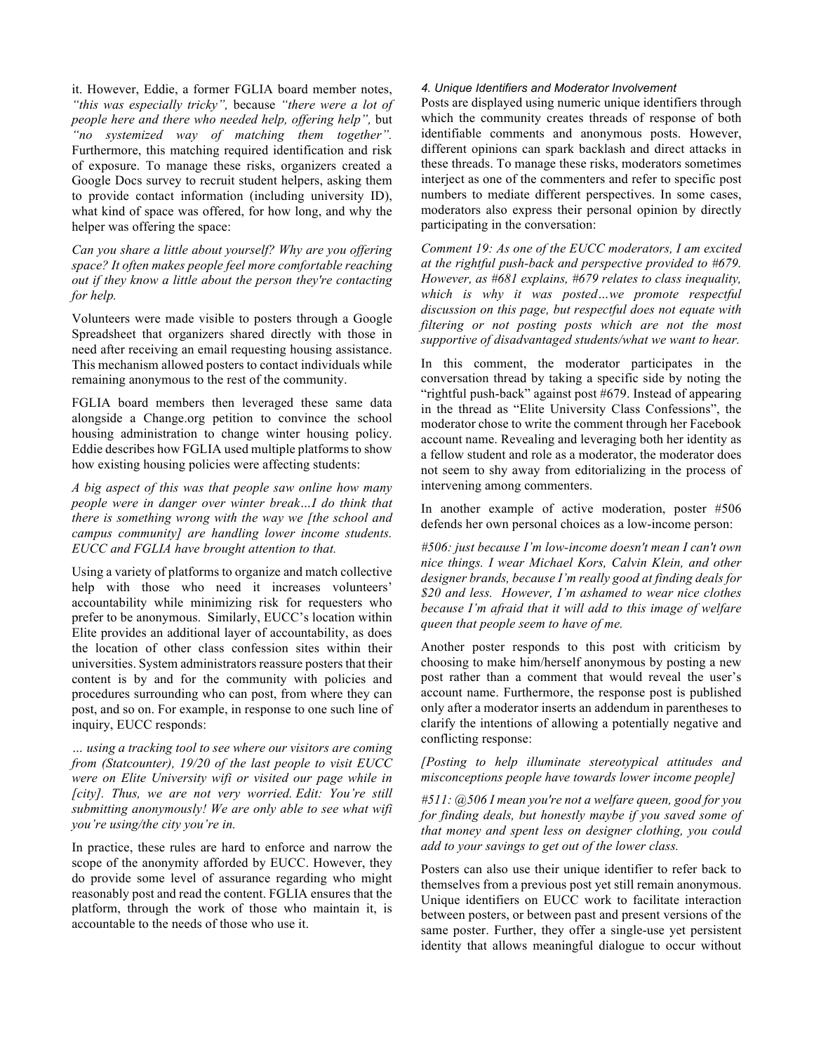it. However, Eddie, a former FGLIA board member notes, *"this was especially tricky",* because *"there were a lot of people here and there who needed help, offering help",* but *"no systemized way of matching them together".* Furthermore, this matching required identification and risk of exposure. To manage these risks, organizers created a Google Docs survey to recruit student helpers, asking them to provide contact information (including university ID), what kind of space was offered, for how long, and why the helper was offering the space:

*Can you share a little about yourself? Why are you offering space? It often makes people feel more comfortable reaching out if they know a little about the person they're contacting for help.*

Volunteers were made visible to posters through a Google Spreadsheet that organizers shared directly with those in need after receiving an email requesting housing assistance. This mechanism allowed posters to contact individuals while remaining anonymous to the rest of the community.

FGLIA board members then leveraged these same data alongside a Change.org petition to convince the school housing administration to change winter housing policy. Eddie describes how FGLIA used multiple platforms to show how existing housing policies were affecting students:

*A big aspect of this was that people saw online how many people were in danger over winter break…I do think that there is something wrong with the way we [the school and campus community] are handling lower income students. EUCC and FGLIA have brought attention to that.*

Using a variety of platforms to organize and match collective help with those who need it increases volunteers' accountability while minimizing risk for requesters who prefer to be anonymous. Similarly, EUCC's location within Elite provides an additional layer of accountability, as does the location of other class confession sites within their universities. System administrators reassure posters that their content is by and for the community with policies and procedures surrounding who can post, from where they can post, and so on. For example, in response to one such line of inquiry, EUCC responds:

*… using a tracking tool to see where our visitors are coming from (Statcounter), 19/20 of the last people to visit EUCC were on Elite University wifi or visited our page while in [city]. Thus, we are not very worried. Edit: You're still submitting anonymously! We are only able to see what wifi you're using/the city you're in.*

In practice, these rules are hard to enforce and narrow the scope of the anonymity afforded by EUCC. However, they do provide some level of assurance regarding who might reasonably post and read the content. FGLIA ensures that the platform, through the work of those who maintain it, is accountable to the needs of those who use it.

## *4. Unique Identifiers and Moderator Involvement*

Posts are displayed using numeric unique identifiers through which the community creates threads of response of both identifiable comments and anonymous posts. However, different opinions can spark backlash and direct attacks in these threads. To manage these risks, moderators sometimes interject as one of the commenters and refer to specific post numbers to mediate different perspectives. In some cases, moderators also express their personal opinion by directly participating in the conversation:

*Comment 19: As one of the EUCC moderators, I am excited at the rightful push-back and perspective provided to #679. However, as #681 explains, #679 relates to class inequality, which is why it was posted…we promote respectful discussion on this page, but respectful does not equate with filtering or not posting posts which are not the most supportive of disadvantaged students/what we want to hear.* 

In this comment, the moderator participates in the conversation thread by taking a specific side by noting the "rightful push-back" against post #679. Instead of appearing in the thread as "Elite University Class Confessions", the moderator chose to write the comment through her Facebook account name. Revealing and leveraging both her identity as a fellow student and role as a moderator, the moderator does not seem to shy away from editorializing in the process of intervening among commenters.

In another example of active moderation, poster #506 defends her own personal choices as a low-income person:

*#506: just because I'm low-income doesn't mean I can't own nice things. I wear Michael Kors, Calvin Klein, and other designer brands, because I'm really good at finding deals for \$20 and less. However, I'm ashamed to wear nice clothes because I'm afraid that it will add to this image of welfare queen that people seem to have of me.*

Another poster responds to this post with criticism by choosing to make him/herself anonymous by posting a new post rather than a comment that would reveal the user's account name. Furthermore, the response post is published only after a moderator inserts an addendum in parentheses to clarify the intentions of allowing a potentially negative and conflicting response:

*[Posting to help illuminate stereotypical attitudes and misconceptions people have towards lower income people]*

*#511: @506 I mean you're not a welfare queen, good for you for finding deals, but honestly maybe if you saved some of that money and spent less on designer clothing, you could add to your savings to get out of the lower class.*

Posters can also use their unique identifier to refer back to themselves from a previous post yet still remain anonymous. Unique identifiers on EUCC work to facilitate interaction between posters, or between past and present versions of the same poster. Further, they offer a single-use yet persistent identity that allows meaningful dialogue to occur without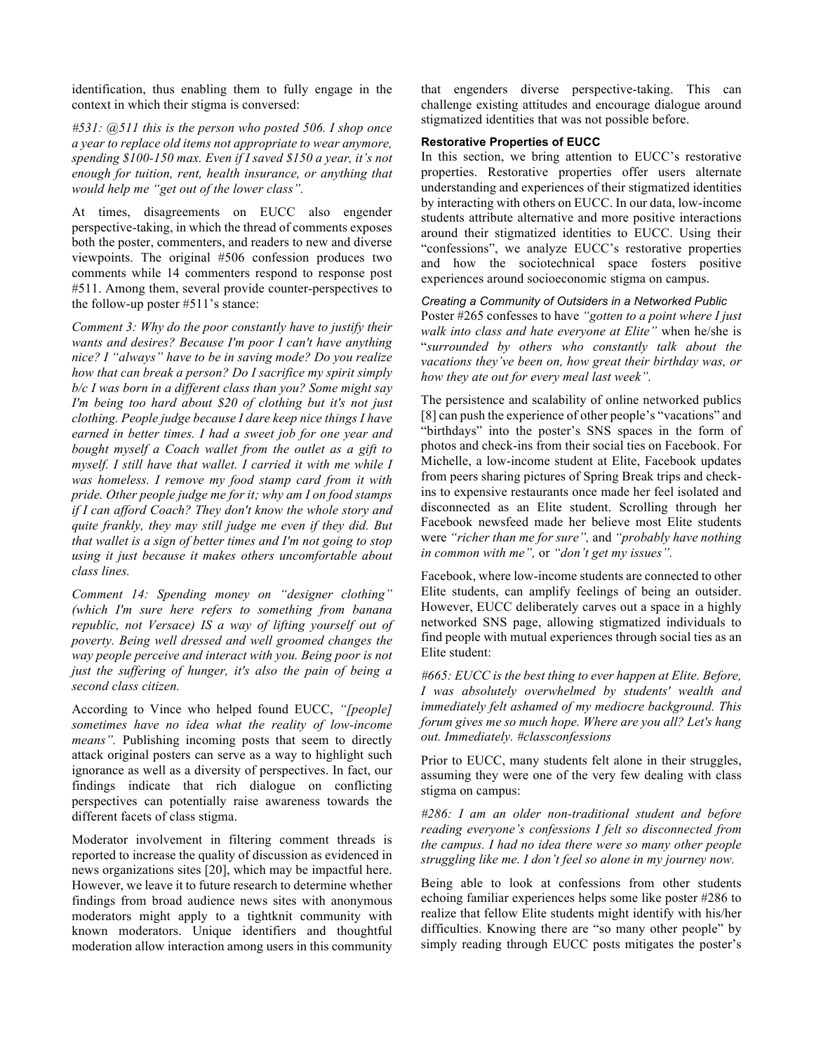identification, thus enabling them to fully engage in the context in which their stigma is conversed:

*#531: @511 this is the person who posted 506. I shop once a year to replace old items not appropriate to wear anymore, spending \$100-150 max. Even if I saved \$150 a year, it's not enough for tuition, rent, health insurance, or anything that would help me "get out of the lower class".*

At times, disagreements on EUCC also engender perspective-taking, in which the thread of comments exposes both the poster, commenters, and readers to new and diverse viewpoints. The original #506 confession produces two comments while 14 commenters respond to response post #511. Among them, several provide counter-perspectives to the follow-up poster #511's stance:

*Comment 3: Why do the poor constantly have to justify their wants and desires? Because I'm poor I can't have anything nice? I "always" have to be in saving mode? Do you realize how that can break a person? Do I sacrifice my spirit simply b/c I was born in a different class than you? Some might say I'm being too hard about \$20 of clothing but it's not just clothing. People judge because I dare keep nice things I have earned in better times. I had a sweet job for one year and bought myself a Coach wallet from the outlet as a gift to myself. I still have that wallet. I carried it with me while I was homeless. I remove my food stamp card from it with pride. Other people judge me for it; why am I on food stamps if I can afford Coach? They don't know the whole story and quite frankly, they may still judge me even if they did. But that wallet is a sign of better times and I'm not going to stop using it just because it makes others uncomfortable about class lines.* 

*Comment 14: Spending money on "designer clothing" (which I'm sure here refers to something from banana republic, not Versace) IS a way of lifting yourself out of poverty. Being well dressed and well groomed changes the way people perceive and interact with you. Being poor is not just the suffering of hunger, it's also the pain of being a second class citizen.*

According to Vince who helped found EUCC, *"[people] sometimes have no idea what the reality of low-income means"*. Publishing incoming posts that seem to directly attack original posters can serve as a way to highlight such ignorance as well as a diversity of perspectives. In fact, our findings indicate that rich dialogue on conflicting perspectives can potentially raise awareness towards the different facets of class stigma.

Moderator involvement in filtering comment threads is reported to increase the quality of discussion as evidenced in news organizations sites [20], which may be impactful here. However, we leave it to future research to determine whether findings from broad audience news sites with anonymous moderators might apply to a tightknit community with known moderators. Unique identifiers and thoughtful moderation allow interaction among users in this community

that engenders diverse perspective-taking. This can challenge existing attitudes and encourage dialogue around stigmatized identities that was not possible before.

## **Restorative Properties of EUCC**

In this section, we bring attention to EUCC's restorative properties. Restorative properties offer users alternate understanding and experiences of their stigmatized identities by interacting with others on EUCC. In our data, low-income students attribute alternative and more positive interactions around their stigmatized identities to EUCC. Using their "confessions", we analyze EUCC's restorative properties and how the sociotechnical space fosters positive experiences around socioeconomic stigma on campus.

## *Creating a Community of Outsiders in a Networked Public*

Poster #265 confesses to have *"gotten to a point where I just walk into class and hate everyone at Elite"* when he/she is "*surrounded by others who constantly talk about the vacations they've been on, how great their birthday was, or how they ate out for every meal last week".*

The persistence and scalability of online networked publics [8] can push the experience of other people's "vacations" and "birthdays" into the poster's SNS spaces in the form of photos and check-ins from their social ties on Facebook. For Michelle, a low-income student at Elite, Facebook updates from peers sharing pictures of Spring Break trips and checkins to expensive restaurants once made her feel isolated and disconnected as an Elite student. Scrolling through her Facebook newsfeed made her believe most Elite students were *"richer than me for sure",* and *"probably have nothing in common with me",* or *"don't get my issues".*

Facebook, where low-income students are connected to other Elite students, can amplify feelings of being an outsider. However, EUCC deliberately carves out a space in a highly networked SNS page, allowing stigmatized individuals to find people with mutual experiences through social ties as an Elite student:

*#665: EUCC is the best thing to ever happen at Elite. Before, I was absolutely overwhelmed by students' wealth and immediately felt ashamed of my mediocre background. This forum gives me so much hope. Where are you all? Let's hang out. Immediately. #classconfessions*

Prior to EUCC, many students felt alone in their struggles, assuming they were one of the very few dealing with class stigma on campus:

*#286: I am an older non-traditional student and before reading everyone's confessions I felt so disconnected from the campus. I had no idea there were so many other people struggling like me. I don't feel so alone in my journey now.*

Being able to look at confessions from other students echoing familiar experiences helps some like poster #286 to realize that fellow Elite students might identify with his/her difficulties. Knowing there are "so many other people" by simply reading through EUCC posts mitigates the poster's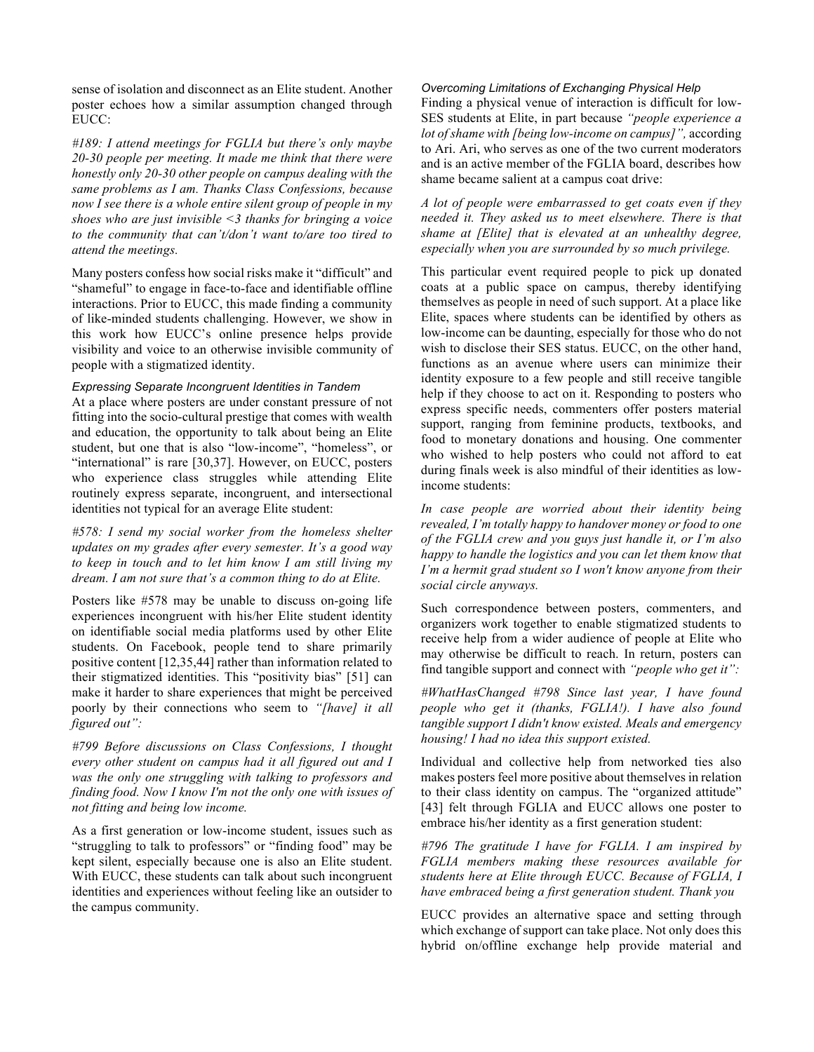sense of isolation and disconnect as an Elite student. Another poster echoes how a similar assumption changed through EUCC:

*#189: I attend meetings for FGLIA but there's only maybe 20-30 people per meeting. It made me think that there were honestly only 20-30 other people on campus dealing with the same problems as I am. Thanks Class Confessions, because now I see there is a whole entire silent group of people in my shoes who are just invisible <3 thanks for bringing a voice to the community that can't/don't want to/are too tired to attend the meetings.*

Many posters confess how social risks make it "difficult" and "shameful" to engage in face-to-face and identifiable offline interactions. Prior to EUCC, this made finding a community of like-minded students challenging. However, we show in this work how EUCC's online presence helps provide visibility and voice to an otherwise invisible community of people with a stigmatized identity.

# *Expressing Separate Incongruent Identities in Tandem*

At a place where posters are under constant pressure of not fitting into the socio-cultural prestige that comes with wealth and education, the opportunity to talk about being an Elite student, but one that is also "low-income", "homeless", or "international" is rare [30,37]. However, on EUCC, posters who experience class struggles while attending Elite routinely express separate, incongruent, and intersectional identities not typical for an average Elite student:

*#578: I send my social worker from the homeless shelter updates on my grades after every semester. It's a good way to keep in touch and to let him know I am still living my dream. I am not sure that's a common thing to do at Elite.*

Posters like #578 may be unable to discuss on-going life experiences incongruent with his/her Elite student identity on identifiable social media platforms used by other Elite students. On Facebook, people tend to share primarily positive content [12,35,44] rather than information related to their stigmatized identities. This "positivity bias" [51] can make it harder to share experiences that might be perceived poorly by their connections who seem to *"[have] it all figured out":*

*#799 Before discussions on Class Confessions, I thought every other student on campus had it all figured out and I was the only one struggling with talking to professors and finding food. Now I know I'm not the only one with issues of not fitting and being low income.* 

As a first generation or low-income student, issues such as "struggling to talk to professors" or "finding food" may be kept silent, especially because one is also an Elite student. With EUCC, these students can talk about such incongruent identities and experiences without feeling like an outsider to the campus community.

## *Overcoming Limitations of Exchanging Physical Help*

Finding a physical venue of interaction is difficult for low-SES students at Elite, in part because *"people experience a lot of shame with [being low-income on campus]",* according to Ari. Ari, who serves as one of the two current moderators and is an active member of the FGLIA board, describes how shame became salient at a campus coat drive:

*A lot of people were embarrassed to get coats even if they needed it. They asked us to meet elsewhere. There is that shame at [Elite] that is elevated at an unhealthy degree, especially when you are surrounded by so much privilege.*

This particular event required people to pick up donated coats at a public space on campus, thereby identifying themselves as people in need of such support. At a place like Elite, spaces where students can be identified by others as low-income can be daunting, especially for those who do not wish to disclose their SES status. EUCC, on the other hand, functions as an avenue where users can minimize their identity exposure to a few people and still receive tangible help if they choose to act on it. Responding to posters who express specific needs, commenters offer posters material support, ranging from feminine products, textbooks, and food to monetary donations and housing. One commenter who wished to help posters who could not afford to eat during finals week is also mindful of their identities as lowincome students:

*In case people are worried about their identity being revealed, I'm totally happy to handover money or food to one of the FGLIA crew and you guys just handle it, or I'm also happy to handle the logistics and you can let them know that I'm a hermit grad student so I won't know anyone from their social circle anyways.*

Such correspondence between posters, commenters, and organizers work together to enable stigmatized students to receive help from a wider audience of people at Elite who may otherwise be difficult to reach. In return, posters can find tangible support and connect with *"people who get it":*

*#WhatHasChanged #798 Since last year, I have found people who get it (thanks, FGLIA!). I have also found tangible support I didn't know existed. Meals and emergency housing! I had no idea this support existed.*

Individual and collective help from networked ties also makes posters feel more positive about themselves in relation to their class identity on campus. The "organized attitude" [43] felt through FGLIA and EUCC allows one poster to embrace his/her identity as a first generation student:

*#796 The gratitude I have for FGLIA. I am inspired by FGLIA members making these resources available for students here at Elite through EUCC. Because of FGLIA, I have embraced being a first generation student. Thank you*

EUCC provides an alternative space and setting through which exchange of support can take place. Not only does this hybrid on/offline exchange help provide material and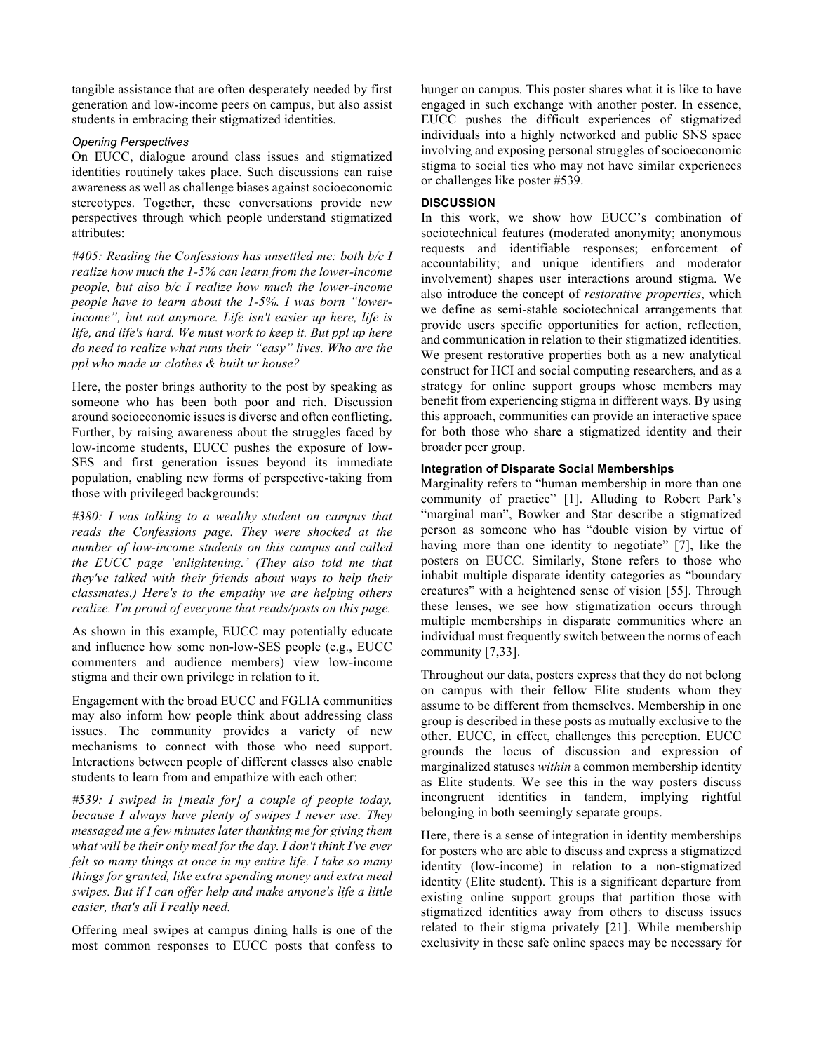tangible assistance that are often desperately needed by first generation and low-income peers on campus, but also assist students in embracing their stigmatized identities.

## *Opening Perspectives*

On EUCC, dialogue around class issues and stigmatized identities routinely takes place. Such discussions can raise awareness as well as challenge biases against socioeconomic stereotypes. Together, these conversations provide new perspectives through which people understand stigmatized attributes:

*#405: Reading the Confessions has unsettled me: both b/c I realize how much the 1-5% can learn from the lower-income people, but also b/c I realize how much the lower-income people have to learn about the 1-5%. I was born "lowerincome", but not anymore. Life isn't easier up here, life is life, and life's hard. We must work to keep it. But ppl up here do need to realize what runs their "easy" lives. Who are the ppl who made ur clothes & built ur house?*

Here, the poster brings authority to the post by speaking as someone who has been both poor and rich. Discussion around socioeconomic issues is diverse and often conflicting. Further, by raising awareness about the struggles faced by low-income students, EUCC pushes the exposure of low-SES and first generation issues beyond its immediate population, enabling new forms of perspective-taking from those with privileged backgrounds:

*#380: I was talking to a wealthy student on campus that reads the Confessions page. They were shocked at the number of low-income students on this campus and called the EUCC page 'enlightening.' (They also told me that they've talked with their friends about ways to help their classmates.) Here's to the empathy we are helping others realize. I'm proud of everyone that reads/posts on this page.* 

As shown in this example, EUCC may potentially educate and influence how some non-low-SES people (e.g., EUCC commenters and audience members) view low-income stigma and their own privilege in relation to it.

Engagement with the broad EUCC and FGLIA communities may also inform how people think about addressing class issues. The community provides a variety of new mechanisms to connect with those who need support. Interactions between people of different classes also enable students to learn from and empathize with each other:

*#539: I swiped in [meals for] a couple of people today, because I always have plenty of swipes I never use. They messaged me a few minutes later thanking me for giving them what will be their only meal for the day. I don't think I've ever felt so many things at once in my entire life. I take so many things for granted, like extra spending money and extra meal swipes. But if I can offer help and make anyone's life a little easier, that's all I really need.*

Offering meal swipes at campus dining halls is one of the most common responses to EUCC posts that confess to hunger on campus. This poster shares what it is like to have engaged in such exchange with another poster. In essence, EUCC pushes the difficult experiences of stigmatized individuals into a highly networked and public SNS space involving and exposing personal struggles of socioeconomic stigma to social ties who may not have similar experiences or challenges like poster #539.

# **DISCUSSION**

In this work, we show how EUCC's combination of sociotechnical features (moderated anonymity; anonymous requests and identifiable responses; enforcement of accountability; and unique identifiers and moderator involvement) shapes user interactions around stigma. We also introduce the concept of *restorative properties*, which we define as semi-stable sociotechnical arrangements that provide users specific opportunities for action, reflection, and communication in relation to their stigmatized identities. We present restorative properties both as a new analytical construct for HCI and social computing researchers, and as a strategy for online support groups whose members may benefit from experiencing stigma in different ways. By using this approach, communities can provide an interactive space for both those who share a stigmatized identity and their broader peer group.

# **Integration of Disparate Social Memberships**

Marginality refers to "human membership in more than one community of practice" [1]. Alluding to Robert Park's "marginal man", Bowker and Star describe a stigmatized person as someone who has "double vision by virtue of having more than one identity to negotiate" [7], like the posters on EUCC. Similarly, Stone refers to those who inhabit multiple disparate identity categories as "boundary creatures" with a heightened sense of vision [55]. Through these lenses, we see how stigmatization occurs through multiple memberships in disparate communities where an individual must frequently switch between the norms of each community [7,33].

Throughout our data, posters express that they do not belong on campus with their fellow Elite students whom they assume to be different from themselves. Membership in one group is described in these posts as mutually exclusive to the other. EUCC, in effect, challenges this perception. EUCC grounds the locus of discussion and expression of marginalized statuses *within* a common membership identity as Elite students. We see this in the way posters discuss incongruent identities in tandem, implying rightful belonging in both seemingly separate groups.

Here, there is a sense of integration in identity memberships for posters who are able to discuss and express a stigmatized identity (low-income) in relation to a non-stigmatized identity (Elite student). This is a significant departure from existing online support groups that partition those with stigmatized identities away from others to discuss issues related to their stigma privately [21]. While membership exclusivity in these safe online spaces may be necessary for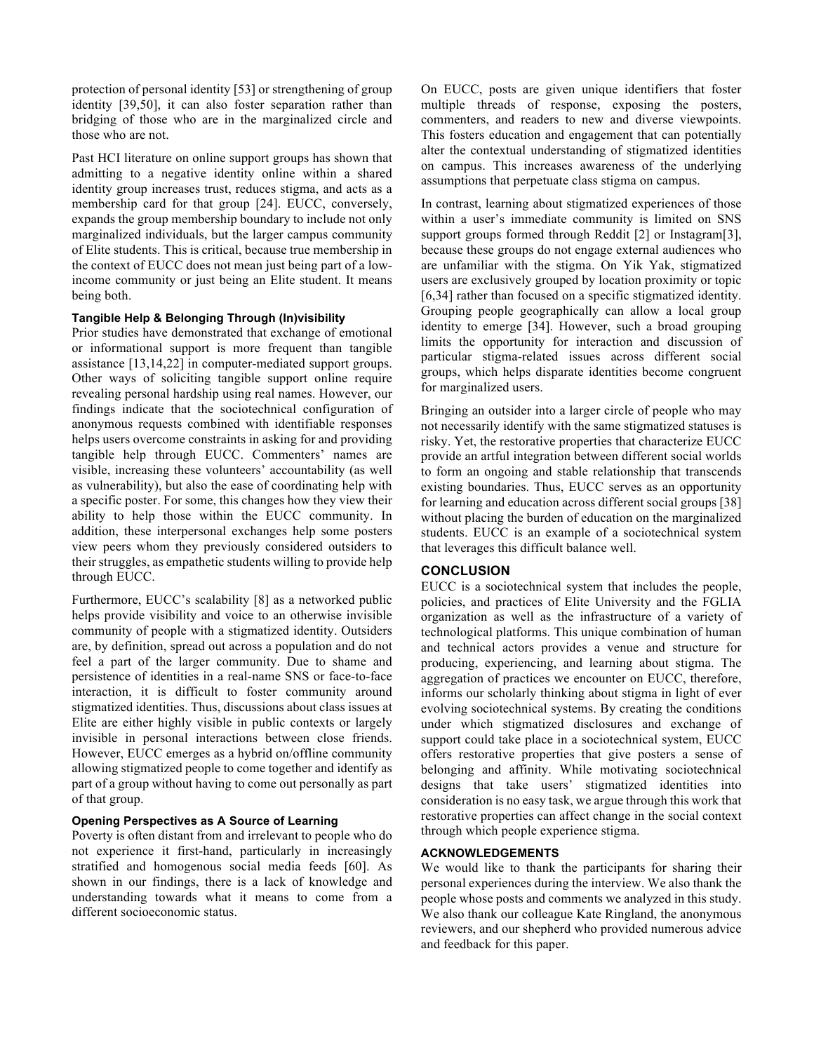protection of personal identity [53] or strengthening of group identity [39,50], it can also foster separation rather than bridging of those who are in the marginalized circle and those who are not.

Past HCI literature on online support groups has shown that admitting to a negative identity online within a shared identity group increases trust, reduces stigma, and acts as a membership card for that group [24]. EUCC, conversely, expands the group membership boundary to include not only marginalized individuals, but the larger campus community of Elite students. This is critical, because true membership in the context of EUCC does not mean just being part of a lowincome community or just being an Elite student. It means being both.

## **Tangible Help & Belonging Through (In)visibility**

Prior studies have demonstrated that exchange of emotional or informational support is more frequent than tangible assistance [13,14,22] in computer-mediated support groups. Other ways of soliciting tangible support online require revealing personal hardship using real names. However, our findings indicate that the sociotechnical configuration of anonymous requests combined with identifiable responses helps users overcome constraints in asking for and providing tangible help through EUCC. Commenters' names are visible, increasing these volunteers' accountability (as well as vulnerability), but also the ease of coordinating help with a specific poster. For some, this changes how they view their ability to help those within the EUCC community. In addition, these interpersonal exchanges help some posters view peers whom they previously considered outsiders to their struggles, as empathetic students willing to provide help through EUCC.

Furthermore, EUCC's scalability [8] as a networked public helps provide visibility and voice to an otherwise invisible community of people with a stigmatized identity. Outsiders are, by definition, spread out across a population and do not feel a part of the larger community. Due to shame and persistence of identities in a real-name SNS or face-to-face interaction, it is difficult to foster community around stigmatized identities. Thus, discussions about class issues at Elite are either highly visible in public contexts or largely invisible in personal interactions between close friends. However, EUCC emerges as a hybrid on/offline community allowing stigmatized people to come together and identify as part of a group without having to come out personally as part of that group.

#### **Opening Perspectives as A Source of Learning**

Poverty is often distant from and irrelevant to people who do not experience it first-hand, particularly in increasingly stratified and homogenous social media feeds [60]. As shown in our findings, there is a lack of knowledge and understanding towards what it means to come from a different socioeconomic status.

On EUCC, posts are given unique identifiers that foster multiple threads of response, exposing the posters, commenters, and readers to new and diverse viewpoints. This fosters education and engagement that can potentially alter the contextual understanding of stigmatized identities on campus. This increases awareness of the underlying assumptions that perpetuate class stigma on campus.

In contrast, learning about stigmatized experiences of those within a user's immediate community is limited on SNS support groups formed through Reddit [2] or Instagram[3], because these groups do not engage external audiences who are unfamiliar with the stigma. On Yik Yak, stigmatized users are exclusively grouped by location proximity or topic [6,34] rather than focused on a specific stigmatized identity. Grouping people geographically can allow a local group identity to emerge [34]. However, such a broad grouping limits the opportunity for interaction and discussion of particular stigma-related issues across different social groups, which helps disparate identities become congruent for marginalized users.

Bringing an outsider into a larger circle of people who may not necessarily identify with the same stigmatized statuses is risky. Yet, the restorative properties that characterize EUCC provide an artful integration between different social worlds to form an ongoing and stable relationship that transcends existing boundaries. Thus, EUCC serves as an opportunity for learning and education across different social groups [38] without placing the burden of education on the marginalized students. EUCC is an example of a sociotechnical system that leverages this difficult balance well.

#### **CONCLUSION**

EUCC is a sociotechnical system that includes the people, policies, and practices of Elite University and the FGLIA organization as well as the infrastructure of a variety of technological platforms. This unique combination of human and technical actors provides a venue and structure for producing, experiencing, and learning about stigma. The aggregation of practices we encounter on EUCC, therefore, informs our scholarly thinking about stigma in light of ever evolving sociotechnical systems. By creating the conditions under which stigmatized disclosures and exchange of support could take place in a sociotechnical system, EUCC offers restorative properties that give posters a sense of belonging and affinity. While motivating sociotechnical designs that take users' stigmatized identities into consideration is no easy task, we argue through this work that restorative properties can affect change in the social context through which people experience stigma.

# **ACKNOWLEDGEMENTS**

We would like to thank the participants for sharing their personal experiences during the interview. We also thank the people whose posts and comments we analyzed in this study. We also thank our colleague Kate Ringland, the anonymous reviewers, and our shepherd who provided numerous advice and feedback for this paper.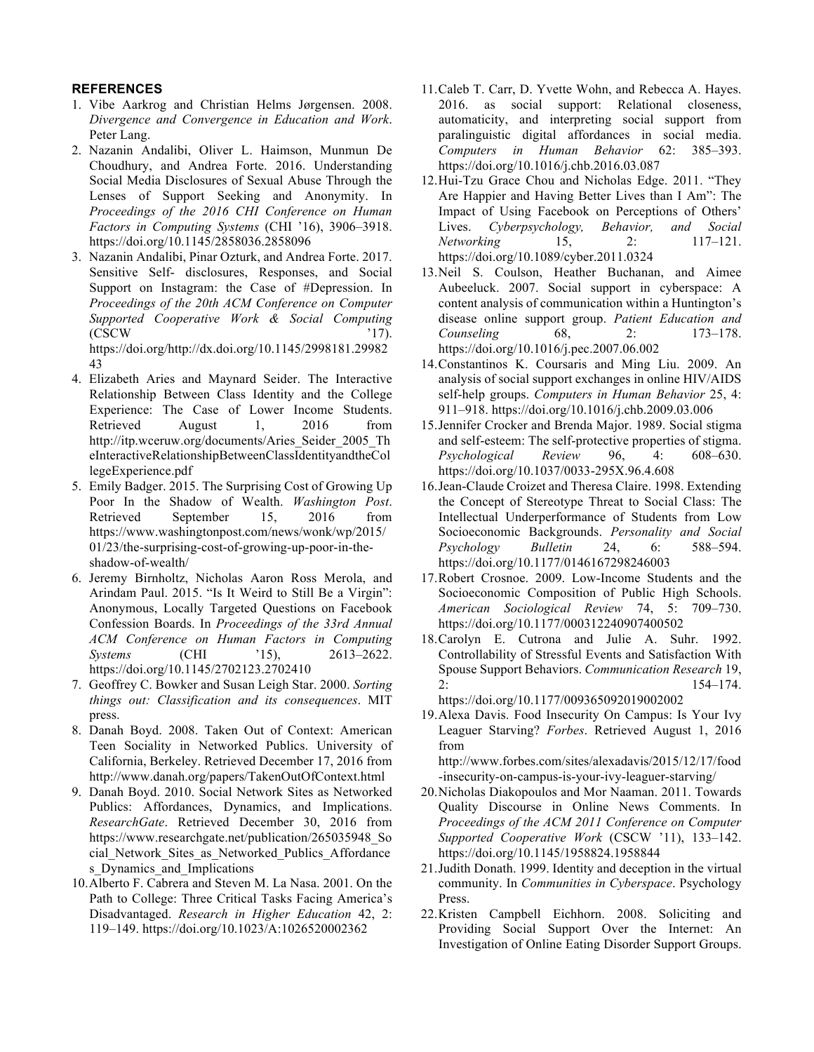# **REFERENCES**

- 1. Vibe Aarkrog and Christian Helms Jørgensen. 2008. *Divergence and Convergence in Education and Work*. Peter Lang.
- 2. Nazanin Andalibi, Oliver L. Haimson, Munmun De Choudhury, and Andrea Forte. 2016. Understanding Social Media Disclosures of Sexual Abuse Through the Lenses of Support Seeking and Anonymity. In *Proceedings of the 2016 CHI Conference on Human Factors in Computing Systems* (CHI '16), 3906–3918. https://doi.org/10.1145/2858036.2858096
- 3. Nazanin Andalibi, Pinar Ozturk, and Andrea Forte. 2017. Sensitive Self- disclosures, Responses, and Social Support on Instagram: the Case of #Depression. In *Proceedings of the 20th ACM Conference on Computer Supported Cooperative Work & Social Computing*  $\text{CSCW}$  '17). https://doi.org/http://dx.doi.org/10.1145/2998181.29982

43

- 4. Elizabeth Aries and Maynard Seider. The Interactive Relationship Between Class Identity and the College Experience: The Case of Lower Income Students. Retrieved August 1, 2016 from http://itp.wceruw.org/documents/Aries\_Seider\_2005\_Th eInteractiveRelationshipBetweenClassIdentityandtheCol legeExperience.pdf
- 5. Emily Badger. 2015. The Surprising Cost of Growing Up Poor In the Shadow of Wealth. *Washington Post*. Retrieved September 15, 2016 from https://www.washingtonpost.com/news/wonk/wp/2015/ 01/23/the-surprising-cost-of-growing-up-poor-in-theshadow-of-wealth/
- 6. Jeremy Birnholtz, Nicholas Aaron Ross Merola, and Arindam Paul. 2015. "Is It Weird to Still Be a Virgin": Anonymous, Locally Targeted Questions on Facebook Confession Boards. In *Proceedings of the 33rd Annual ACM Conference on Human Factors in Computing Systems* (CHI '15), 2613–2622. https://doi.org/10.1145/2702123.2702410
- 7. Geoffrey C. Bowker and Susan Leigh Star. 2000. *Sorting things out: Classification and its consequences*. MIT press.
- 8. Danah Boyd. 2008. Taken Out of Context: American Teen Sociality in Networked Publics. University of California, Berkeley. Retrieved December 17, 2016 from http://www.danah.org/papers/TakenOutOfContext.html
- 9. Danah Boyd. 2010. Social Network Sites as Networked Publics: Affordances, Dynamics, and Implications. *ResearchGate*. Retrieved December 30, 2016 from https://www.researchgate.net/publication/265035948\_So cial Network Sites as Networked Publics Affordance s Dynamics and Implications
- 10.Alberto F. Cabrera and Steven M. La Nasa. 2001. On the Path to College: Three Critical Tasks Facing America's Disadvantaged. *Research in Higher Education* 42, 2: 119–149. https://doi.org/10.1023/A:1026520002362
- 11.Caleb T. Carr, D. Yvette Wohn, and Rebecca A. Hayes. 2016. as social support: Relational closeness, automaticity, and interpreting social support from paralinguistic digital affordances in social media. *Computers in Human Behavior* 62: 385–393. https://doi.org/10.1016/j.chb.2016.03.087
- 12.Hui-Tzu Grace Chou and Nicholas Edge. 2011. "They Are Happier and Having Better Lives than I Am": The Impact of Using Facebook on Perceptions of Others' Lives. *Cyberpsychology, Behavior, and Social Networking* 15, 2: 117–121. https://doi.org/10.1089/cyber.2011.0324
- 13.Neil S. Coulson, Heather Buchanan, and Aimee Aubeeluck. 2007. Social support in cyberspace: A content analysis of communication within a Huntington's disease online support group. *Patient Education and Counseling* 68, 2: 173–178. https://doi.org/10.1016/j.pec.2007.06.002
- 14.Constantinos K. Coursaris and Ming Liu. 2009. An analysis of social support exchanges in online HIV/AIDS self-help groups. *Computers in Human Behavior* 25, 4: 911–918. https://doi.org/10.1016/j.chb.2009.03.006
- 15.Jennifer Crocker and Brenda Major. 1989. Social stigma and self-esteem: The self-protective properties of stigma. *Psychological Review* 96, 4: 608–630. https://doi.org/10.1037/0033-295X.96.4.608
- 16.Jean-Claude Croizet and Theresa Claire. 1998. Extending the Concept of Stereotype Threat to Social Class: The Intellectual Underperformance of Students from Low Socioeconomic Backgrounds. *Personality and Social Psychology Bulletin* 24, 6: 588–594. https://doi.org/10.1177/0146167298246003
- 17.Robert Crosnoe. 2009. Low-Income Students and the Socioeconomic Composition of Public High Schools. *American Sociological Review* 74, 5: 709–730. https://doi.org/10.1177/000312240907400502
- 18.Carolyn E. Cutrona and Julie A. Suhr. 1992. Controllability of Stressful Events and Satisfaction With Spouse Support Behaviors. *Communication Research* 19,  $2: 154-174.$ https://doi.org/10.1177/009365092019002002
- 19.Alexa Davis. Food Insecurity On Campus: Is Your Ivy Leaguer Starving? *Forbes*. Retrieved August 1, 2016 from

http://www.forbes.com/sites/alexadavis/2015/12/17/food -insecurity-on-campus-is-your-ivy-leaguer-starving/

- 20.Nicholas Diakopoulos and Mor Naaman. 2011. Towards Quality Discourse in Online News Comments. In *Proceedings of the ACM 2011 Conference on Computer Supported Cooperative Work* (CSCW '11), 133–142. https://doi.org/10.1145/1958824.1958844
- 21.Judith Donath. 1999. Identity and deception in the virtual community. In *Communities in Cyberspace*. Psychology Press.
- 22.Kristen Campbell Eichhorn. 2008. Soliciting and Providing Social Support Over the Internet: An Investigation of Online Eating Disorder Support Groups.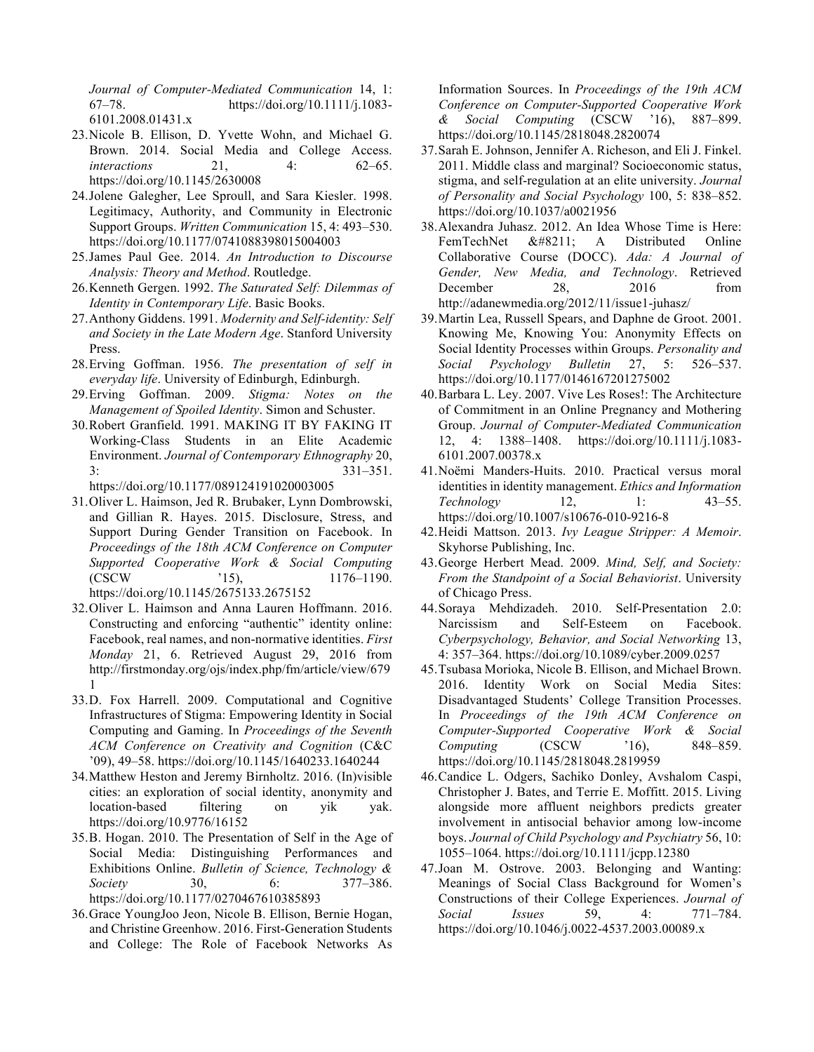*Journal of Computer-Mediated Communication* 14, 1: 67–78. https://doi.org/10.1111/j.1083- 6101.2008.01431.x

- 23.Nicole B. Ellison, D. Yvette Wohn, and Michael G. Brown. 2014. Social Media and College Access. *interactions* 21, 4: 62–65. https://doi.org/10.1145/2630008
- 24.Jolene Galegher, Lee Sproull, and Sara Kiesler. 1998. Legitimacy, Authority, and Community in Electronic Support Groups. *Written Communication* 15, 4: 493–530. https://doi.org/10.1177/0741088398015004003
- 25.James Paul Gee. 2014. *An Introduction to Discourse Analysis: Theory and Method*. Routledge.
- 26.Kenneth Gergen. 1992. *The Saturated Self: Dilemmas of Identity in Contemporary Life*. Basic Books.
- 27.Anthony Giddens. 1991. *Modernity and Self-identity: Self and Society in the Late Modern Age*. Stanford University Press.
- 28.Erving Goffman. 1956. *The presentation of self in everyday life*. University of Edinburgh, Edinburgh.
- 29.Erving Goffman. 2009. *Stigma: Notes on the Management of Spoiled Identity*. Simon and Schuster.
- 30.Robert Granfield. 1991. MAKING IT BY FAKING IT Working-Class Students in an Elite Academic Environment. *Journal of Contemporary Ethnography* 20, 3: 331–351.

https://doi.org/10.1177/089124191020003005

- 31.Oliver L. Haimson, Jed R. Brubaker, Lynn Dombrowski, and Gillian R. Hayes. 2015. Disclosure, Stress, and Support During Gender Transition on Facebook. In *Proceedings of the 18th ACM Conference on Computer Supported Cooperative Work & Social Computing* (CSCW '15), 1176–1190. https://doi.org/10.1145/2675133.2675152
- 32.Oliver L. Haimson and Anna Lauren Hoffmann. 2016. Constructing and enforcing "authentic" identity online: Facebook, real names, and non-normative identities. *First Monday* 21, 6. Retrieved August 29, 2016 from http://firstmonday.org/ojs/index.php/fm/article/view/679 1
- 33.D. Fox Harrell. 2009. Computational and Cognitive Infrastructures of Stigma: Empowering Identity in Social Computing and Gaming. In *Proceedings of the Seventh ACM Conference on Creativity and Cognition* (C&C '09), 49–58. https://doi.org/10.1145/1640233.1640244
- 34.Matthew Heston and Jeremy Birnholtz. 2016. (In)visible cities: an exploration of social identity, anonymity and location-based filtering on yik yak. https://doi.org/10.9776/16152
- 35.B. Hogan. 2010. The Presentation of Self in the Age of Social Media: Distinguishing Performances and Exhibitions Online. *Bulletin of Science, Technology & Society* 30, 6: 377–386. https://doi.org/10.1177/0270467610385893
- 36.Grace YoungJoo Jeon, Nicole B. Ellison, Bernie Hogan, and Christine Greenhow. 2016. First-Generation Students and College: The Role of Facebook Networks As

Information Sources. In *Proceedings of the 19th ACM Conference on Computer-Supported Cooperative Work & Social Computing* (CSCW '16), 887–899. https://doi.org/10.1145/2818048.2820074

- 37.Sarah E. Johnson, Jennifer A. Richeson, and Eli J. Finkel. 2011. Middle class and marginal? Socioeconomic status, stigma, and self-regulation at an elite university. *Journal of Personality and Social Psychology* 100, 5: 838–852. https://doi.org/10.1037/a0021956
- 38.Alexandra Juhasz. 2012. An Idea Whose Time is Here: FemTechNet – A Distributed Online Collaborative Course (DOCC). *Ada: A Journal of Gender, New Media, and Technology*. Retrieved December 28, 2016 from http://adanewmedia.org/2012/11/issue1-juhasz/
- 39.Martin Lea, Russell Spears, and Daphne de Groot. 2001. Knowing Me, Knowing You: Anonymity Effects on Social Identity Processes within Groups. *Personality and Social Psychology Bulletin* 27, 5: 526–537. https://doi.org/10.1177/0146167201275002
- 40.Barbara L. Ley. 2007. Vive Les Roses!: The Architecture of Commitment in an Online Pregnancy and Mothering Group. *Journal of Computer-Mediated Communication* 12, 4: 1388–1408. https://doi.org/10.1111/j.1083- 6101.2007.00378.x
- 41.Noëmi Manders-Huits. 2010. Practical versus moral identities in identity management. *Ethics and Information Technology* 12, 1: 43–55. https://doi.org/10.1007/s10676-010-9216-8
- 42.Heidi Mattson. 2013. *Ivy League Stripper: A Memoir*. Skyhorse Publishing, Inc.
- 43.George Herbert Mead. 2009. *Mind, Self, and Society: From the Standpoint of a Social Behaviorist*. University of Chicago Press.
- 44.Soraya Mehdizadeh. 2010. Self-Presentation 2.0: Narcissism and Self-Esteem on Facebook. *Cyberpsychology, Behavior, and Social Networking* 13, 4: 357–364. https://doi.org/10.1089/cyber.2009.0257
- 45.Tsubasa Morioka, Nicole B. Ellison, and Michael Brown. 2016. Identity Work on Social Media Sites: Disadvantaged Students' College Transition Processes. In *Proceedings of the 19th ACM Conference on Computer-Supported Cooperative Work & Social Computing* (CSCW '16), 848–859. https://doi.org/10.1145/2818048.2819959
- 46.Candice L. Odgers, Sachiko Donley, Avshalom Caspi, Christopher J. Bates, and Terrie E. Moffitt. 2015. Living alongside more affluent neighbors predicts greater involvement in antisocial behavior among low-income boys. *Journal of Child Psychology and Psychiatry* 56, 10: 1055–1064. https://doi.org/10.1111/jcpp.12380
- 47.Joan M. Ostrove. 2003. Belonging and Wanting: Meanings of Social Class Background for Women's Constructions of their College Experiences. *Journal of Social Issues* 59, 4: 771–784. https://doi.org/10.1046/j.0022-4537.2003.00089.x